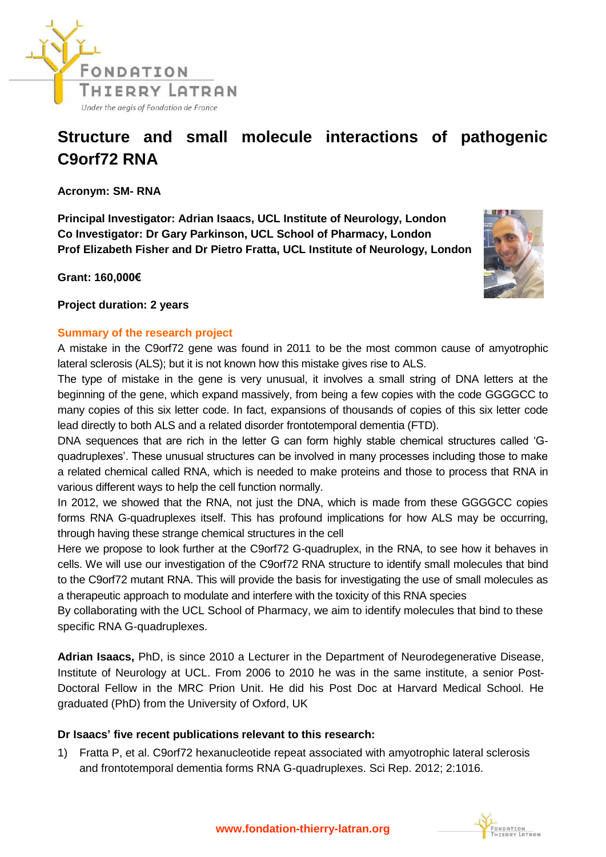

## **Structure and small molecule interactions of pathogenic C9orf72 RNA**

**Acronym: SM- RNA**

**Principal Investigator: Adrian Isaacs, UCL Institute of Neurology, London Co Investigator: Dr Gary Parkinson, UCL School of Pharmacy, London Prof Elizabeth Fisher and Dr Pietro Fratta, UCL Institute of Neurology, London** 

**Grant: 160,000€** 



**Project duration: 2 years**

## **Summary of the research project**

A mistake in the C9orf72 gene was found in 2011 to be the most common cause of amyotrophic lateral sclerosis (ALS); but it is not known how this mistake gives rise to ALS.

The type of mistake in the gene is very unusual, it involves a small string of DNA letters at the beginning of the gene, which expand massively, from being a few copies with the code GGGGCC to many copies of this six letter code. In fact, expansions of thousands of copies of this six letter code lead directly to both ALS and a related disorder frontotemporal dementia (FTD).

DNA sequences that are rich in the letter G can form highly stable chemical structures called 'Gquadruplexes'. These unusual structures can be involved in many processes including those to make a related chemical called RNA, which is needed to make proteins and those to process that RNA in various different ways to help the cell function normally.

In 2012, we showed that the RNA, not just the DNA, which is made from these GGGGCC copies forms RNA G-quadruplexes itself. This has profound implications for how ALS may be occurring, through having these strange chemical structures in the cell

Here we propose to look further at the C9orf72 G-quadruplex, in the RNA, to see how it behaves in cells. We will use our investigation of the C9orf72 RNA structure to identify small molecules that bind to the C9orf72 mutant RNA. This will provide the basis for investigating the use of small molecules as a therapeutic approach to modulate and interfere with the toxicity of this RNA species

By collaborating with the UCL School of Pharmacy, we aim to identify molecules that bind to these specific RNA G-quadruplexes.

**Adrian Isaacs,** PhD, is since 2010 a Lecturer in the Department of Neurodegenerative Disease, Institute of Neurology at UCL. From 2006 to 2010 he was in the same institute, a senior Post-Doctoral Fellow in the MRC Prion Unit. He did his Post Doc at Harvard Medical School. He graduated (PhD) from the University of Oxford, UK

## **Dr Isaacs' five recent publications relevant to this research:**

1) Fratta P, et al. C9orf72 hexanucleotide repeat associated with amyotrophic lateral sclerosis and frontotemporal dementia forms RNA G-quadruplexes. Sci Rep. 2012; 2:1016.